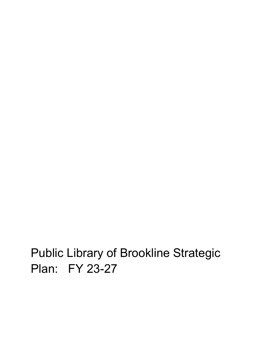# Public Library of Brookline Strategic Plan: FY 23-27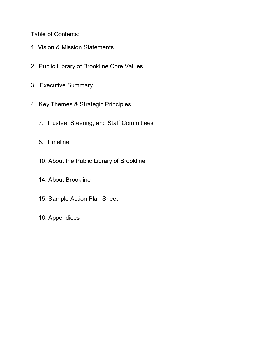Table of Contents:

- 1. Vision & Mission Statements
- 2. Public Library of Brookline Core Values
- 3. Executive Summary
- 4. Key Themes & Strategic Principles
	- 7. Trustee, Steering, and Staff Committees
	- 8. Timeline
	- 10. About the Public Library of Brookline
	- 14. About Brookline
	- 15. Sample Action Plan Sheet
	- 16. Appendices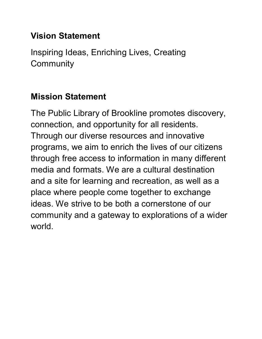# **Vision Statement**

Inspiring Ideas, Enriching Lives, Creating **Community** 

# **Mission Statement**

The Public Library of Brookline promotes discovery, connection, and opportunity for all residents. Through our diverse resources and innovative programs, we aim to enrich the lives of our citizens through free access to information in many different media and formats. We are a cultural destination and a site for learning and recreation, as well as a place where people come together to exchange ideas. We strive to be both a cornerstone of our community and a gateway to explorations of a wider world.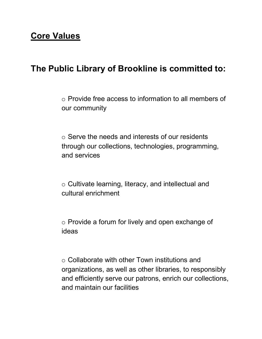# **Core Values**

# **The Public Library of Brookline is committed to:**

o Provide free access to information to all members of our community

 $\circ$  Serve the needs and interests of our residents through our collections, technologies, programming, and services

o Cultivate learning, literacy, and intellectual and cultural enrichment

o Provide a forum for lively and open exchange of ideas

o Collaborate with other Town institutions and organizations, as well as other libraries, to responsibly and efficiently serve our patrons, enrich our collections, and maintain our facilities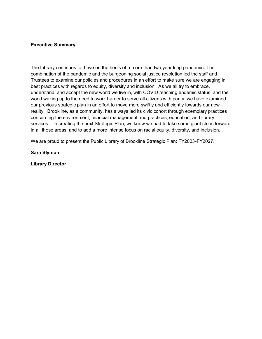#### **Executive Summary**

The Library continues to thrive on the heels of a more than two year long pandemic. The combination of the pandemic and the burgeoning social justice revolution led the staff and Trustees to examine our policies and procedures in an effort to make sure we are engaging in best practices with regards to equity, diversity and inclusion. As we all try to embrace, understand, and accept the new world we live in, with COVID reaching endemic status, and the world waking up to the need to work harder to serve all citizens with parity, we have examined our previous strategic plan in an effort to move more swiftly and efficiently towards our new reality. Brookline, as a community, has always led its civic cohort through exemplary practices concerning the environment, financial management and practices, education, and library services. In creating the next Strategic Plan, we knew we had to take some giant steps forward in all those areas, and to add a more intense focus on racial equity, diversity, and inclusion.

We are proud to present the Public Library of Brookline Strategic Plan: FY2023-FY2027.

#### **Sara Slymon**

**Library Director**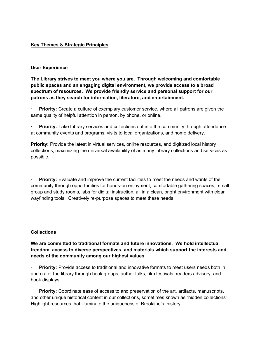# **Key Themes & Strategic Principles**

# **User Experience**

**The Library strives to meet you where you are. Through welcoming and comfortable public spaces and an engaging digital environment, we provide access to a broad spectrum of resources. We provide friendly service and personal support for our patrons as they search for information, literature, and entertainment.**

**Priority:** Create a culture of exemplary customer service, where all patrons are given the same quality of helpful attention in person, by phone, or online.

**Priority:** Take Library services and collections out into the community through attendance at community events and programs, visits to local organizations, and home delivery.

**Priority:** Provide the latest in virtual services, online resources, and digitized local history collections, maximizing the universal availability of as many Library collections and services as possible.

· **Priority:** Evaluate and improve the current facilities to meet the needs and wants of the community through opportunities for hands-on enjoyment, comfortable gathering spaces, small group and study rooms, labs for digital instruction, all in a clean, bright environment with clear wayfinding tools. Creatively re-purpose spaces to meet these needs.

# **Collections**

**We are committed to traditional formats and future innovations. We hold intellectual freedom, access to diverse perspectives, and materials which support the interests and needs of the community among our highest values.**

**Priority:** Provide access to traditional and innovative formats to meet users needs both in and out of the library through book groups, author talks, film festivals, readers advisory, and book displays.

**Priority:** Coordinate ease of access to and preservation of the art, artifacts, manuscripts, and other unique historical content in our collections, sometimes known as "hidden collections". Highlight resources that illuminate the uniqueness of Brookline's history.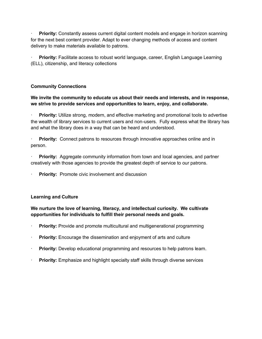**Priority:** Constantly assess current digital content models and engage in horizon scanning for the next best content provider. Adapt to ever changing methods of access and content delivery to make materials available to patrons.

· **Priority:** Facilitate access to robust world language, career, English Language Learning (ELL), citizenship, and literacy collections

# **Community Connections**

# **We invite the community to educate us about their needs and interests, and in response, we strive to provide services and opportunities to learn, enjoy, and collaborate.**

Priority: Utilize strong, modern, and effective marketing and promotional tools to advertise the wealth of library services to current users and non-users. Fully express what the library has and what the library does in a way that can be heard and understood.

**Priority:** Connect patrons to resources through innovative approaches online and in person.

**Priority:** Aggregate community information from town and local agencies, and partner creatively with those agencies to provide the greatest depth of service to our patrons.

**Priority:** Promote civic involvement and discussion

# **Learning and Culture**

# **We nurture the love of learning, literacy, and intellectual curiosity. We cultivate opportunities for individuals to fulfill their personal needs and goals.**

- **Priority:** Provide and promote multicultural and multigenerational programming
- **Priority:** Encourage the dissemination and enjoyment of arts and culture
- **Priority:** Develop educational programming and resources to help patrons learn.
- Priority: Emphasize and highlight specialty staff skills through diverse services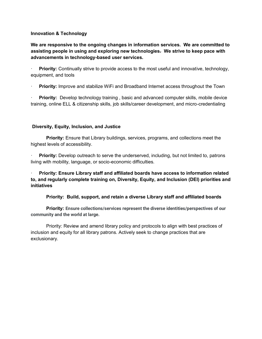# **Innovation & Technology**

**We are responsive to the ongoing changes in information services. We are committed to assisting people in using and exploring new technologies. We strive to keep pace with advancements in technology-based user services.**

· **Priority:** Continually strive to provide access to the most useful and innovative, technology, equipment, and tools

· **Priority:** Improve and stabilize WiFi and Broadband Internet access throughout the Town

**Priority:** Develop technology training, basic and advanced computer skills, mobile device training, online ELL & citizenship skills, job skills/career development, and micro-credentialing

# **Diversity, Equity, Inclusion, and Justice**

**Priority:** Ensure that Library buildings, services, programs, and collections meet the highest levels of accessibility.

**Priority:** Develop outreach to serve the underserved, including, but not limited to, patrons living with mobility, language, or socio-economic difficulties.

· **Priority: Ensure Library staff and affiliated boards have access to information related to, and regularly complete training on, Diversity, Equity, and Inclusion (DEI) priorities and initiatives**

**Priority: Build, support, and retain a diverse Library staff and affiliated boards**

**Priority: Ensure collections/services represent the diverse identities/perspectives of our community and the world at large.**

Priority: Review and amend library policy and protocols to align with best practices of inclusion and equity for all library patrons. Actively seek to change practices that are exclusionary.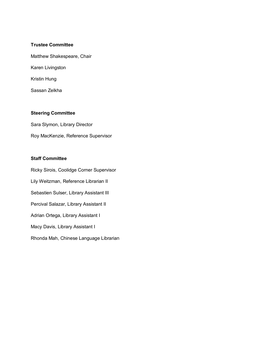# **Trustee Committee**

Matthew Shakespeare, Chair Karen Livingston

Kristin Hung

Sassan Zelkha

# **Steering Committee**

Sara Slymon, Library Director Roy MacKenzie, Reference Supervisor

## **Staff Committee**

Ricky Sirois, Coolidge Corner Supervisor Lily Weitzman, Reference Librarian II Sebastien Sulser, Library Assistant III Percival Salazar, Library Assistant II Adrian Ortega, Library Assistant I Macy Davis, Library Assistant I Rhonda Mah, Chinese Language Librarian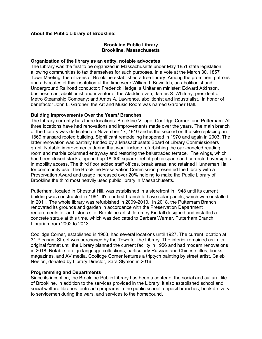# **About the Public Library of Brookline:**

#### **Brookline Public Library Brookline, Massachusetts**

#### **Organization of the library as an entity, notable advocates**

The Library was the first to be organized in Massachusetts under May 1851 state legislation allowing communities to tax themselves for such purposes. In a vote at the March 30, 1857 Town Meeting, the citizens of Brookline established a free library. Among the prominent patrons and advocates of this institution at the time were William I. Bowditch, an abolitionist and Underground Railroad conductor; Frederick Hedge, a Unitarian minister; Edward Atkinson, businessman, abolitionist and inventor of the Aladdin oven; James S. Whitney, president of Metro Steamship Company; and Amos A. Lawrence, abolitionist and industrialist. In honor of benefactor John L. Gardner, the Art and Music Room was named Gardner Hall.

#### **Building Improvements Over the Years/ Branches**

The Library currently has three locations: Brookline Village, Coolidge Corner, and Putterham. All three locations have had renovations and improvements made over the years. The main branch of the Library was dedicated on November 17, 1910 and is the second on the site replacing an 1869 mansard roofed building. Significant remodeling happened in 1970 and again in 2003. The latter renovation was partially funded by a Massachusetts Board of Library Commissioners grant. Notable improvements during that work include refurbishing the oak-paneled reading room and marble columned entryway and restoring the balustraded terrace. The wings, which had been closed stacks, opened up 18,000 square feet of public space and corrected oversights in mobility access. The third floor added staff offices, break areas, and retained Hunneman Hall for community use. The Brookline Preservation Commission presented the Library with a Preservation Award and usage increased over 20% helping to make the Public Library of Brookline the third most heavily used public library in Massachusetts.

Putterham, located in Chestnut Hill, was established in a storefront in 1948 until its current building was constructed in 1961. It's our first branch to have solar panels, which were installed in 2011. The whole library was refurbished in 2009-2010. In 2018, the Putterham Branch renovated its grounds and garden in accordance with the Preservation Department requirements for an historic site. Brookline artist Jeremey Kindall designed and installed a concrete statue at this time, which was dedicated to Barbara Warner, Putterham Branch Librarian from 2002 to 2013.

Coolidge Corner, established in 1903, had several locations until 1927. The current location at 31 Pleasant Street was purchased by the Town for the Library. The interior remained as in its original format until the Library planned the current facility in 1956 and had modern renovations in 2018. Notable foreign language collections, particularly Russian and Chinese titles, books, magazines, and AV media. Coolidge Corner features a triptych painting by street artist, Caleb Neelon, donated by Library Director, Sara Slymon in 2016.

#### **Programming and Departments**

Since its inception, the Brookline Public Library has been a center of the social and cultural life of Brookline. In addition to the services provided in the Library, it also established school and social welfare libraries, outreach programs in the public school, deposit branches, book delivery to servicemen during the wars, and services to the homebound.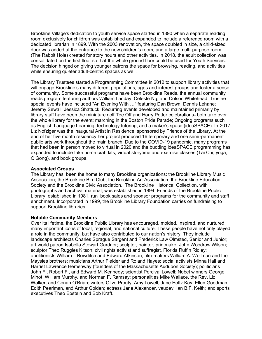Brookline Village's dedication to youth service space started in 1890 when a separate reading room exclusively for children was established and expanded to include a reference room with a dedicated librarian in 1899. With the 2003 renovation, the space doubled in size, a child-sized door was added at the entrance to the new children's room, and a large multi-purpose room (The Rabbit Hole) created for story hours and other activities. In 2018, the adult collection was consolidated on the first floor so that the whole ground floor could be used for Youth Services. The decision hinged on giving younger patrons the space for browsing, reading, and activities while ensuring quieter adult-centric spaces as well.

The Library Trustees started a Programming Committee in 2012 to support library activities that will engage Brookline's many different populations, ages and interest groups and foster a sense of community. Some successful programs have been Brookline Reads, the annual community reads program featuring authors William Landay, Celeste Ng, and Colson Whitehead. Trustee special events have included "An Evening With …" featuring Dan Brown, Dennis Lehane; Jeremy Sewall, Jessica Shattuck. Recurring events developed and maintained primarily by library staff have been the miniature golf Tee Off and Harry Potter celebrations- both take over the whole library for the event; marching in the Boston Pride Parade; Ongoing programs such as English Language Learning, technology tutoring, and a maker's space (ideaSPACE). In 2017 Liz Nofziger was the inaugural Artist in Residence, sponsored by Friends of the Library. At the end of her five month residency her project produced 16 temporary and one semi-permanent public arts work throughout the main branch. Due to the COVID-19 pandemic, many programs that had been in person moved to virtual in 2020 and the budding ideaSPACE programming has expanded to include take home craft kits; virtual storytime and exercise classes (Tai Chi, yoga, QiGong), and book groups.

# **Associated Groups**

The Library has been the home to many Brookline organizations: the Brookline Library Music Association; the Brookline Bird Club; the Brookline Art Association; the Brookline Education Society and the Brookline Civic Association. The Brookline Historical Collection, with photographs and archival material, was established in 1894. Friends of the Brookline Public Library, established in 1981, run book sales and sponsor programs for the community and staff enrichment. Incorporated in 1999, the Brookline Library Foundation carries on fundraising to support Brookline libraries.

# **Notable Community Members**

Over its lifetime, the Brookline Public Library has encouraged, molded, inspired, and nurtured many important icons of local, regional, and national culture. These people have not only played a role in the community, but have also contributed to our nation's history. They include landscape architects Charles Sprague Sargent and Frederick Law Olmsted, Senior and Junior; art world patron Isabella Stewart Gardner; sculptor, painter, printmaker John Woodrow Wilson; sculptor Theo Ruggles Kitson; civil rights activist and suffragist, Florida Ruffin Ridley; abolitionists William I. Bowditch and Edward Atkinson; film-makers William A. Wellman and the Maysles brothers; musicians Arthur Fielder and Roland Hayes; social activists Minna Hall and Harriet Lawrence Hemenway (founders of the Massachusetts Audubon Society); politicians John F., Robert F., and Edward M. Kennedy; scientist Percival Lowell; Nobel winners George Minot, William Murphy, and Norman F. Ramsay; personalities Mike Wallace, the Rev. Liz Walker, and Conan O'Brian; writers Olive Prouty, Amy Lowell, Jane Holtz Kay, Ellen Goodman, Edith Pearlman, and Arthur Golden; actress Jane Alexander, vaudevillian B.F. Keith; and sports executives Theo Epstein and Bob Kraft.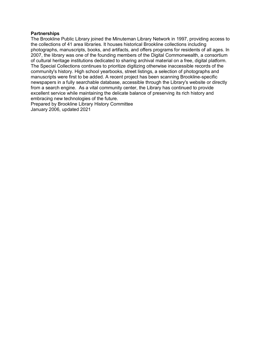### **Partnerships**

The Brookline Public Library joined the Minuteman Library Network in 1997, providing access to the collections of 41 area libraries. It houses historical Brookline collections including photographs, manuscripts, books, and artifacts, and offers programs for residents of all ages. In 2007, the library was one of the founding members of the Digital Commonwealth, a consortium of cultural heritage institutions dedicated to sharing archival material on a free, digital platform. The Special Collections continues to prioritize digitizing otherwise inaccessible records of the community's history. High school yearbooks, street listings, a selection of photographs and manuscripts were first to be added. A recent project has been scanning Brookline-specific newspapers in a fully searchable database, accessible through the Library's website or directly from a search engine. As a vital community center, the Library has continued to provide excellent service while maintaining the delicate balance of preserving its rich history and embracing new technologies of the future.

Prepared by Brookline Library History Committee January 2006, updated 2021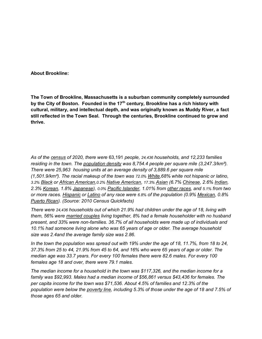**About Brookline:**

**The Town of Brookline, Massachusetts is a suburban community completely surrounded by the City of Boston. Founded in the 17th century, Brookline has a rich history with cultural, military, and intellectual depth, and was originally known as Muddy River, a fact still reflected in the Town Seal. Through the centuries, Brookline continued to grow and thrive.**

*As of the [census](https://en.wikipedia.org/wiki/Census) of 2020, there were* 63,191 *people, 24,436 households, and 12,233 families residing in the town. The [population density](https://en.wikipedia.org/wiki/Population_density) was 8,754.4 people per square mile (3,247.3/km²). There were 25,963 housing units at an average density of 3,889.6 per square mile (1,501.9/km²). The racial makeup of the town was 72.0% [White,](https://en.wikipedia.org/wiki/White_(U.S._Census))68% white not hispanic or latino, 3.2% [Black](https://en.wikipedia.org/wiki/African_American_(U.S._Census)) or [African American,](https://en.wikipedia.org/wiki/Race_(United_States_Census))0.2% [Native American,](https://en.wikipedia.org/wiki/Native_American_(U.S._Census)) 17.3% [Asian](https://en.wikipedia.org/wiki/Asian_(U.S._Census)) (6.7% [Chinese,](https://en.wikipedia.org/wiki/Chinese_American) 2.6% [Indian,](https://en.wikipedia.org/wiki/Indian_American) 2.3% [Korean,](https://en.wikipedia.org/wiki/Korean_American) 1.8% [Japanese\)](https://en.wikipedia.org/wiki/Japanese_American), 0.0% [Pacific Islander,](https://en.wikipedia.org/wiki/Pacific_Islander_(U.S._Census)) 1.01% from [other races,](https://en.wikipedia.org/wiki/Race_(United_States_Census)) and 5.1% from two or more races. [Hispanic](https://en.wikipedia.org/wiki/Race_and_ethnicity_in_the_United_States_Census) or [Latino](https://en.wikipedia.org/wiki/Latino_(U.S._Census)) of any race were 6.8% of the population (0.9% [Mexican,](https://en.wikipedia.org/wiki/Mexican_American) 0.8% [Puerto Rican\)](https://en.wikipedia.org/wiki/Puerto_Ricans_in_the_United_States). (Source: 2010 Census Quickfacts)*

*There were 24,436 households out of which 21.9% had children under the age of 18, living with them, 56% were [married couples](https://en.wikipedia.org/wiki/Marriage) living together, 8% had a female householder with no husband present, and 33% were non-families. 36.7% of all households were made up of individuals and 10.1% had someone living alone who was 65 years of age or older. The average household size was 2.4and the average family size was 2.86.*

*In the town the population was spread out with 19% under the age of 18, 11.7%, from 18 to 24, 37.3% from 25 to 44, 21.9% from 45 to 64, and 16% who were 65 years of age or older. The median age was 33.7 years. For every 100 females there were 82.6 males. For every 100 females age 18 and over, there were 79.1 males.*

*The median income for a household in the town was \$117,326, and the median income for a family was \$92,993. Males had a median income of \$56,861 versus \$43,436 for females. The per capita income for the town was \$71,536. About 4.5% of families and 12.3% of the population were below the [poverty line,](https://en.wikipedia.org/wiki/Poverty_line) including 5.3% of those under the age of 18 and 7.5% of those ages 65 and older.*